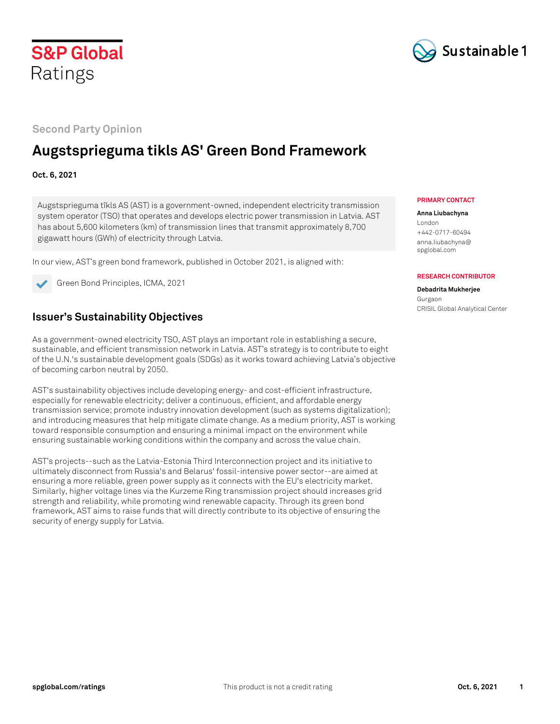



**Second Party Opinion**

# **Augstsprieguma tikls AS' Green Bond Framework**

## **Oct. 6, 2021**

Augstsprieguma tîkls AS (AST) is a government-owned, independent electricity transmission system operator (TSO) that operates and develops electric power transmission in Latvia. AST has about 5,600 kilometers (km) of transmission lines that transmit approximately 8,700 gigawatt hours (GWh) of electricity through Latvia.

In our view, AST's green bond framework, published in October 2021, is aligned with:



Green Bond Principles, ICMA, 2021

## **Issuer's Sustainability Objectives**

As a government-owned electricity TSO, AST plays an important role in establishing a secure, sustainable, and efficient transmission network in Latvia. AST's strategy is to contribute to eight of the U.N.'s sustainable development goals (SDGs) as it works toward achieving Latvia's objective of becoming carbon neutral by 2050.

AST's sustainability objectives include developing energy- and cost-efficient infrastructure, especially for renewable electricity; deliver a continuous, efficient, and affordable energy transmission service; promote industry innovation development (such as systems digitalization); and introducing measures that help mitigate climate change. As a medium priority, AST is working toward responsible consumption and ensuring a minimal impact on the environment while ensuring sustainable working conditions within the company and across the value chain.

AST's projects--such as the Latvia-Estonia Third Interconnection project and its initiative to ultimately disconnect from Russia's and Belarus' fossil-intensive power sector--are aimed at ensuring a more reliable, green power supply as it connects with the EU's electricity market. Similarly, higher voltage lines via the Kurzeme Ring transmission project should increases grid strength and reliability, while promoting wind renewable capacity. Through its green bond framework, AST aims to raise funds that will directly contribute to its objective of ensuring the security of energy supply for Latvia.

#### **PRIMARY CONTACT**

### **Anna Liubachyna**

London +442-0717-60494 anna.liubachyna@ spglobal.com

#### **RESEARCH CONTRIBUTOR**

#### **Debadrita Mukherjee** Gurgaon CRISIL Global Analytical Center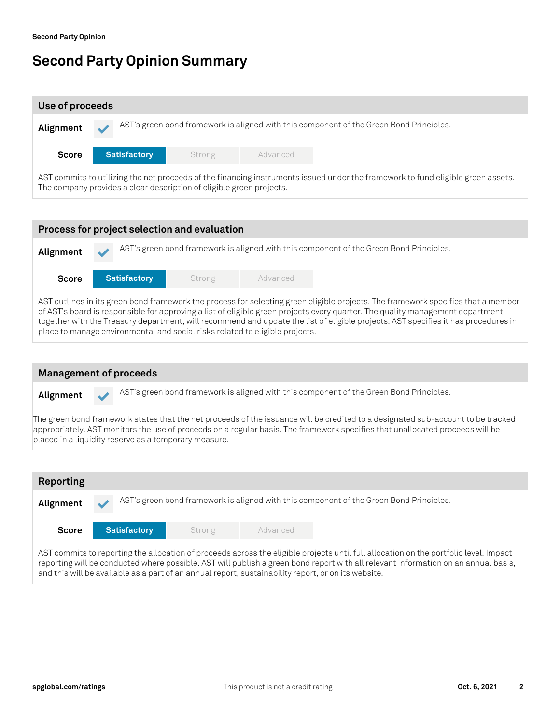# **Second Party Opinion Summary**

| Use of proceeds                                                                                                                                                                                          |                     |        |          |  |  |  |  |  |
|----------------------------------------------------------------------------------------------------------------------------------------------------------------------------------------------------------|---------------------|--------|----------|--|--|--|--|--|
| AST's green bond framework is aligned with this component of the Green Bond Principles.<br>Alignment                                                                                                     |                     |        |          |  |  |  |  |  |
| <b>Score</b>                                                                                                                                                                                             | <b>Satisfactory</b> | Strong | Advanced |  |  |  |  |  |
| AST commits to utilizing the net proceeds of the financing instruments issued under the framework to fund eligible green assets.<br>The company provides a clear description of eligible green projects. |                     |        |          |  |  |  |  |  |
|                                                                                                                                                                                                          |                     |        |          |  |  |  |  |  |
| Process for project selection and evaluation                                                                                                                                                             |                     |        |          |  |  |  |  |  |



together with the Treasury department, will recommend and update the list of eligible projects. AST specifies it has procedures in place to manage environmental and social risks related to eligible projects.



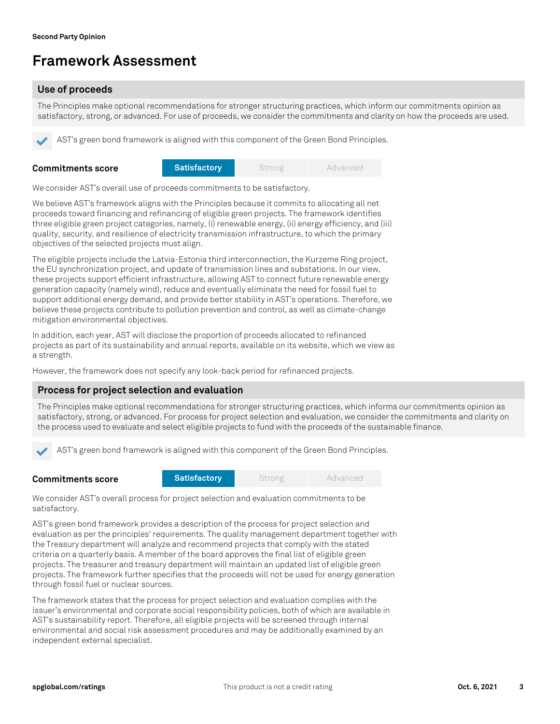# **Framework Assessment**

## **Use of proceeds**

The Principles make optional recommendations for stronger structuring practices, which inform our commitments opinion as satisfactory, strong, or advanced. For use of proceeds, we consider the commitments and clarity on how the proceeds are used.

AST's green bond framework is aligned with this component of the Green Bond Principles.

| <b>Commitments score</b> | <b>Satisfactory</b> | Strong | Advanced |
|--------------------------|---------------------|--------|----------|
|                          |                     |        |          |

We consider AST's overall use of proceeds commitments to be satisfactory.

We believe AST's framework aligns with the Principles because it commits to allocating all net proceeds toward financing and refinancing of eligible green projects. The framework identifies three eligible green project categories, namely, (i) renewable energy, (ii) energy efficiency, and (iii) quality, security, and resilience of electricity transmission infrastructure, to which the primary objectives of the selected projects must align.

The eligible projects include the Latvia-Estonia third interconnection, the Kurzeme Ring project, the EU synchronization project, and update of transmission lines and substations. In our view, these projects support efficient infrastructure, allowing AST to connect future renewable energy generation capacity (namely wind), reduce and eventually eliminate the need for fossil fuel to support additional energy demand, and provide better stability in AST's operations. Therefore, we believe these projects contribute to pollution prevention and control, as well as climate-change mitigation environmental objectives.

In addition, each year, AST will disclose the proportion of proceeds allocated to refinanced projects as part of its sustainability and annual reports, available on its website, which we view as a strength.

However, the framework does not specify any look-back period for refinanced projects.

### **Process for project selection and evaluation**

The Principles make optional recommendations for stronger structuring practices, which informs our commitments opinion as satisfactory, strong, or advanced. For process for project selection and evaluation, we consider the commitments and clarity on the process used to evaluate and select eligible projects to fund with the proceeds of the sustainable finance.

AST's green bond framework is aligned with this component of the Green Bond Principles.

| <b>Commitments score</b> | Satisfactory | Strong | Advanced |
|--------------------------|--------------|--------|----------|
|                          |              |        |          |

We consider AST's overall process for project selection and evaluation commitments to be satisfactory.

AST's green bond framework provides a description of the process for project selection and evaluation as per the principles' requirements. The quality management department together with the Treasury department will analyze and recommend projects that comply with the stated criteria on a quarterly basis. A member of the board approves the final list of eligible green projects. The treasurer and treasury department will maintain an updated list of eligible green projects. The framework further specifies that the proceeds will not be used for energy generation through fossil fuel or nuclear sources.

The framework states that the process for project selection and evaluation complies with the issuer's environmental and corporate social responsibility policies, both of which are available in AST's sustainability report. Therefore, all eligible projects will be screened through internal environmental and social risk assessment procedures and may be additionally examined by an independent external specialist.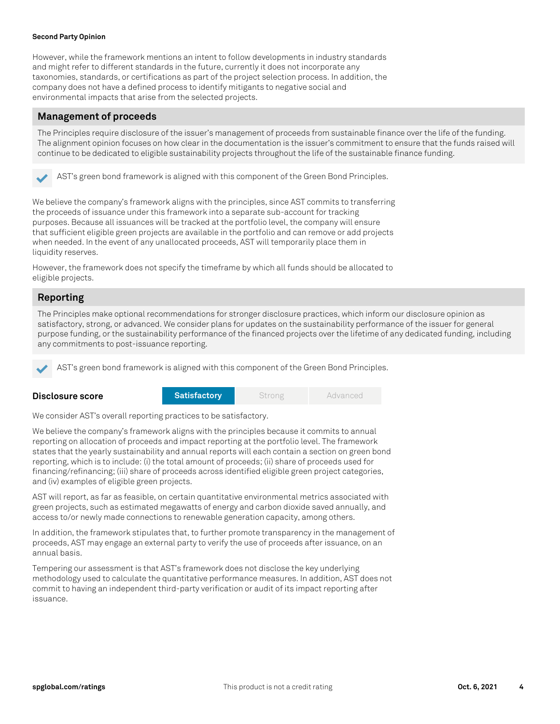### **Second Party Opinion**

However, while the framework mentions an intent to follow developments in industry standards and might refer to different standards in the future, currently it does not incorporate any taxonomies, standards, or certifications as part of the project selection process. In addition, the company does not have a defined process to identify mitigants to negative social and environmental impacts that arise from the selected projects.

### **Management of proceeds**

The Principles require disclosure of the issuer's management of proceeds from sustainable finance over the life of the funding. The alignment opinion focuses on how clear in the documentation is the issuer's commitment to ensure that the funds raised will continue to be dedicated to eligible sustainability projects throughout the life of the sustainable finance funding.



AST's green bond framework is aligned with this component of the Green Bond Principles.

We believe the company's framework aligns with the principles, since AST commits to transferring the proceeds of issuance under this framework into a separate sub-account for tracking purposes. Because all issuances will be tracked at the portfolio level, the company will ensure that sufficient eligible green projects are available in the portfolio and can remove or add projects when needed. In the event of any unallocated proceeds, AST will temporarily place them in liquidity reserves.

However, the framework does not specify the timeframe by which all funds should be allocated to eligible projects.

### **Reporting**

**Disclosure score**

The Principles make optional recommendations for stronger disclosure practices, which inform our disclosure opinion as satisfactory, strong, or advanced. We consider plans for updates on the sustainability performance of the issuer for general purpose funding, or the sustainability performance of the financed projects over the lifetime of any dedicated funding, including any commitments to post-issuance reporting.

AST's green bond framework is aligned with this component of the Green Bond Principles.

| <b>Satisfactory</b> | <b>Strong</b> | Advanced |
|---------------------|---------------|----------|
|---------------------|---------------|----------|

We consider AST's overall reporting practices to be satisfactory.

We believe the company's framework aligns with the principles because it commits to annual reporting on allocation of proceeds and impact reporting at the portfolio level. The framework states that the yearly sustainability and annual reports will each contain a section on green bond reporting, which is to include: (i) the total amount of proceeds; (ii) share of proceeds used for financing/refinancing; (iii) share of proceeds across identified eligible green project categories, and (iv) examples of eligible green projects.

AST will report, as far as feasible, on certain quantitative environmental metrics associated with green projects, such as estimated megawatts of energy and carbon dioxide saved annually, and access to/or newly made connections to renewable generation capacity, among others.

In addition, the framework stipulates that, to further promote transparency in the management of proceeds, AST may engage an external party to verify the use of proceeds after issuance, on an annual basis.

Tempering our assessment is that AST's framework does not disclose the key underlying methodology used to calculate the quantitative performance measures. In addition, AST does not commit to having an independent third-party verification or audit of its impact reporting after issuance.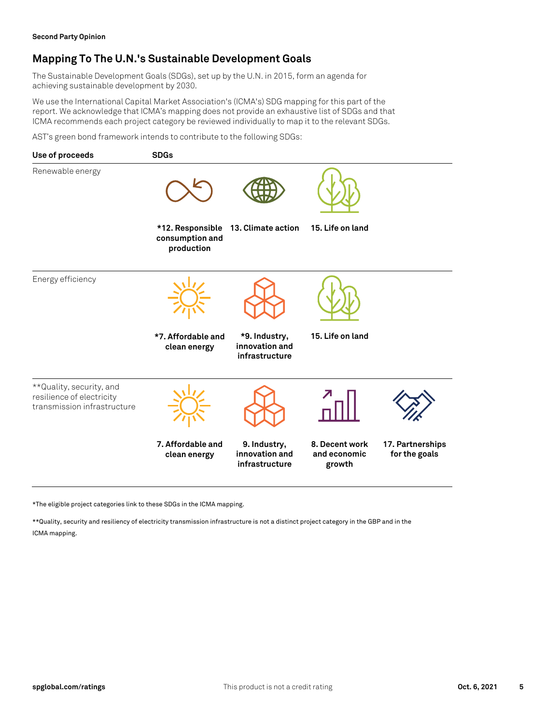## **Mapping To The U.N.'s Sustainable Development Goals**

The Sustainable Development Goals (SDGs), set up by the U.N. in 2015, form an agenda for achieving sustainable development by 2030.

We use the International Capital Market Association's (ICMA's) SDG mapping for this part of the report. We acknowledge that ICMA's mapping does not provide an exhaustive list of SDGs and that ICMA recommends each project category be reviewed individually to map it to the relevant SDGs.

AST's green bond framework intends to contribute to the following SDGs:



\*The eligible project categories link to these SDGs in the ICMA mapping.

\*\*Quality, security and resiliency of electricity transmission infrastructure is not a distinct project category in the GBP and in the ICMA mapping.